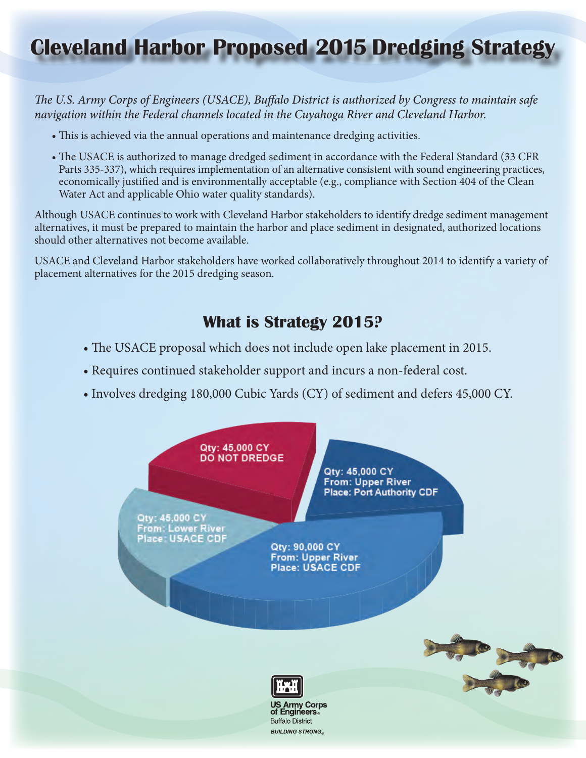# **Cleveland Harbor Proposed 2015 Dredging Strategy**

*The U.S. Army Corps of Engineers (USACE), Buffalo District is authorized by Congress to maintain safe navigation within the Federal channels located in the Cuyahoga River and Cleveland Harbor.*

- This is achieved via the annual operations and maintenance dredging activities.
- The USACE is authorized to manage dredged sediment in accordance with the Federal Standard (33 CFR Parts 335-337), which requires implementation of an alternative consistent with sound engineering practices, economically justified and is environmentally acceptable (e.g., compliance with Section 404 of the Clean Water Act and applicable Ohio water quality standards).

Although USACE continues to work with Cleveland Harbor stakeholders to identify dredge sediment management alternatives, it must be prepared to maintain the harbor and place sediment in designated, authorized locations should other alternatives not become available.

USACE and Cleveland Harbor stakeholders have worked collaboratively throughout 2014 to identify a variety of placement alternatives for the 2015 dredging season.

# **What is Strategy 2015?**

- The USACE proposal which does not include open lake placement in 2015.
- Requires continued stakeholder support and incurs a non-federal cost.
- Involves dredging 180,000 Cubic Yards (CY) of sediment and defers 45,000 CY.